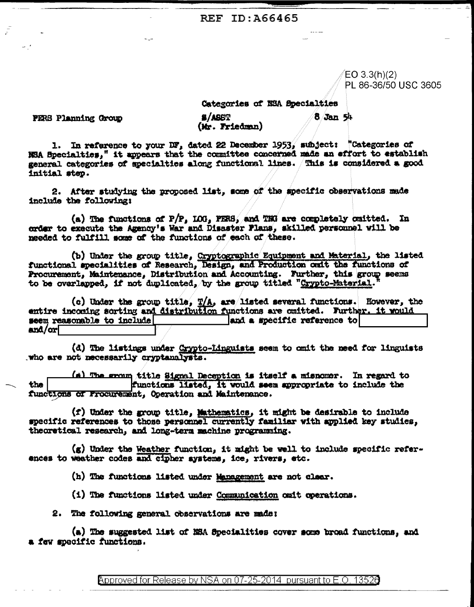REF ID: A66465

 $EO 3.3(h)(2)$ PL 86-36/50 USC 3605

Categories of NSA Epecialties

PERS Planning Crown

**S/ASST** (Mr. Friedman) 8 Jan 54

1. In reference to your DF, dated 22 December 1953, subject: "Categories of NSA Specialties," it appears that the committee concerned made an effort to establish general categories of specialties along functional lines. This is considered a good initial step.

2. After studying the proposed list, some of the specific observations made include the following:

(a) The functions of  $P/P$ , LOG, PERS, and TNG are completely omitted. In order to execute the Agency's War and Disaster Plans, skilled personnel will be needed to fulfill some of the functions of each of these.

(b) Under the group title, Cryptographic Equipment and Material, the listed functional specialities of Research, Design, and Production onit the functions of Procurement, Maintenance, Distribution and Accounting. Further, this group seems to be overlapped, if not duplicated, by the group titled "Crypto-Material.

(c) Under the group title,  $T/A$ , are listed several functions. However, the entire incoming sorting and distribution functions are cmitted. Further, it would seem reasonable to include and a specific reference to  $an\Delta/\text{or}$ 

(d) The listings under Crypto-Linguists seem to omit the need for linguists who are not necessarily cryptanalysts.

(\*) The group title Signal Deception is itself a misnomer. In regard to functions listed, it would seem appropriate to include the the functions of Procurement, Operation and Maintenance.

(f) Under the group title, Mathematics, it might be desirable to include specific references to those personnel currently familiar with applied key studies, theoretical research, and long-term machine programming.

(g) Under the Weather function, it might be well to include specific references to weather codes and cipher systems, ice, rivers, etc.

(h) The functions listed under Management are not clear.

(i) The functions listed under Communication omit operations.

2. The following general observations are made:

(a) The suggested list of MSA Specialities cover some broad functions, and a few specific functions.

Approved for Release by NSA on 07-25-2014 pursuant to E.O. 13526